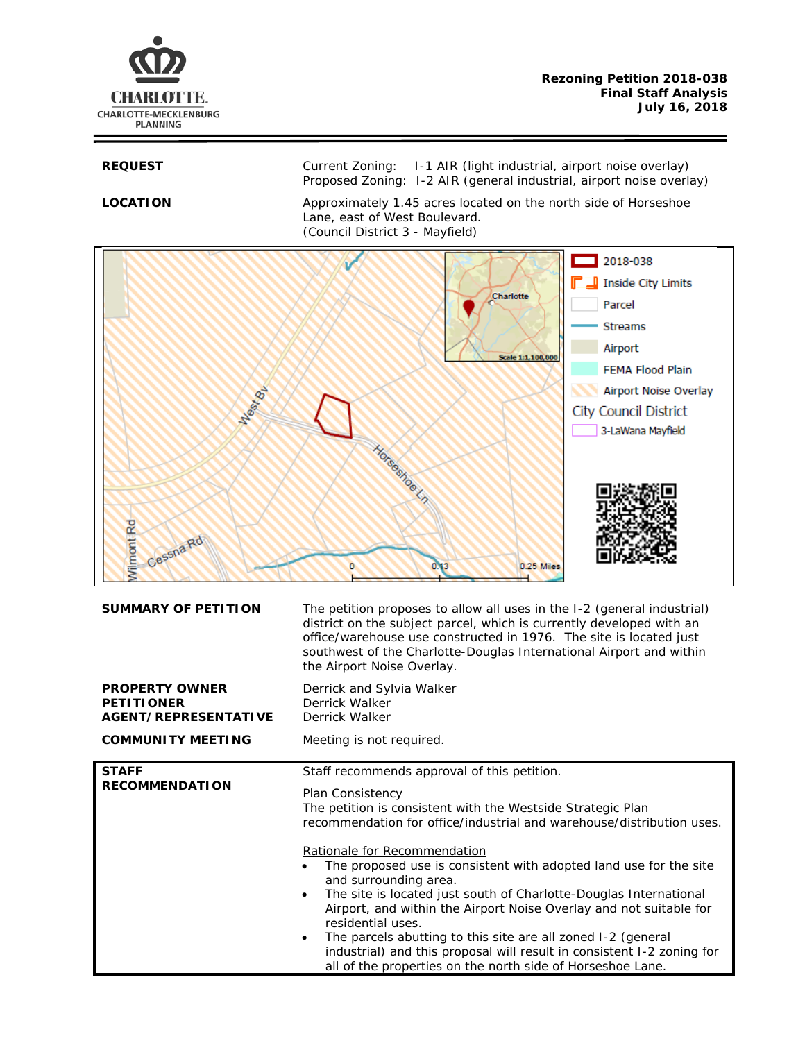

REQUEST Current Zoning: I-1 AIR (light industrial, airport noise overlay) Proposed Zoning: I-2 AIR (general industrial, airport noise overlay)

**LOCATION** Approximately 1.45 acres located on the north side of Horseshoe Lane, east of West Boulevard. (Council District 3 - Mayfield)



| <b>SUMMARY OF PETITION</b>                                         | The petition proposes to allow all uses in the I-2 (general industrial)<br>district on the subject parcel, which is currently developed with an<br>office/warehouse use constructed in 1976. The site is located just<br>southwest of the Charlotte-Douglas International Airport and within<br>the Airport Noise Overlay.                                                                                                                                                                                                                                                                                                                                                                                                                           |
|--------------------------------------------------------------------|------------------------------------------------------------------------------------------------------------------------------------------------------------------------------------------------------------------------------------------------------------------------------------------------------------------------------------------------------------------------------------------------------------------------------------------------------------------------------------------------------------------------------------------------------------------------------------------------------------------------------------------------------------------------------------------------------------------------------------------------------|
| <b>PROPERTY OWNER</b><br><b>PETITIONER</b><br>AGENT/REPRESENTATIVE | Derrick and Sylvia Walker<br>Derrick Walker<br>Derrick Walker                                                                                                                                                                                                                                                                                                                                                                                                                                                                                                                                                                                                                                                                                        |
| <b>COMMUNITY MEETING</b>                                           | Meeting is not required.                                                                                                                                                                                                                                                                                                                                                                                                                                                                                                                                                                                                                                                                                                                             |
| <b>STAFF</b><br><b>RECOMMENDATION</b>                              | Staff recommends approval of this petition.<br>Plan Consistency<br>The petition is consistent with the Westside Strategic Plan<br>recommendation for office/industrial and warehouse/distribution uses.<br>Rationale for Recommendation<br>The proposed use is consistent with adopted land use for the site<br>$\bullet$<br>and surrounding area.<br>The site is located just south of Charlotte-Douglas International<br>$\bullet$<br>Airport, and within the Airport Noise Overlay and not suitable for<br>residential uses.<br>The parcels abutting to this site are all zoned I-2 (general<br>$\bullet$<br>industrial) and this proposal will result in consistent I-2 zoning for<br>all of the properties on the north side of Horseshoe Lane. |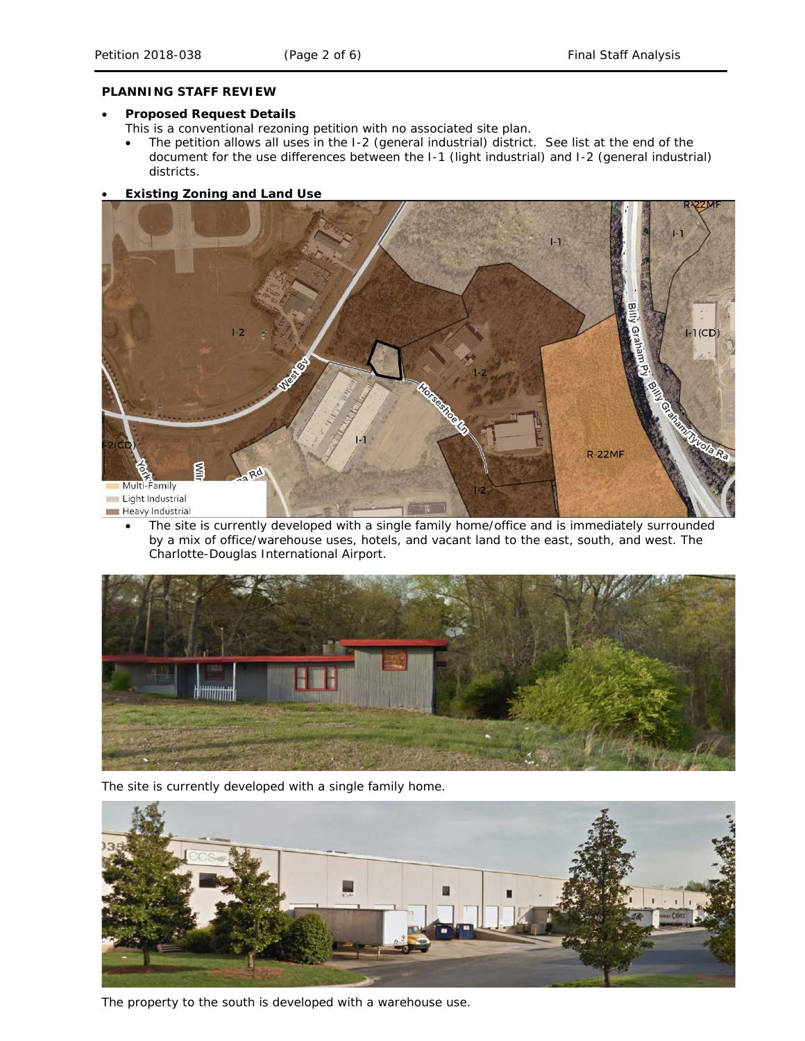### **PLANNING STAFF REVIEW**

### • **Proposed Request Details**

This is a conventional rezoning petition with no associated site plan.

• The petition allows all uses in the I-2 (general industrial) district. See list at the end of the document for the use differences between the I-1 (light industrial) and I-2 (general industrial) districts.

# • **Existing Zoning and Land Use**



The site is currently developed with a single family home/office and is immediately surrounded by a mix of office/warehouse uses, hotels, and vacant land to the east, south, and west. The Charlotte-Douglas International Airport.



The site is currently developed with a single family home.



The property to the south is developed with a warehouse use.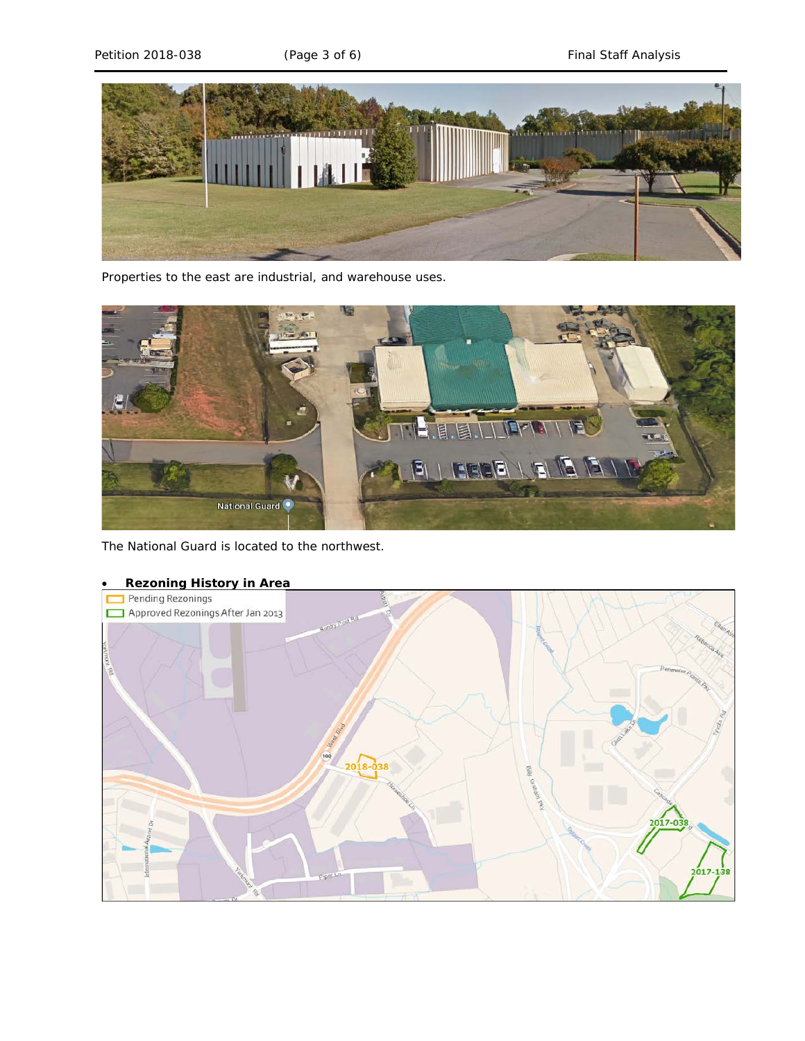

Properties to the east are industrial, and warehouse uses.



The National Guard is located to the northwest.



# • **Rezoning History in Area**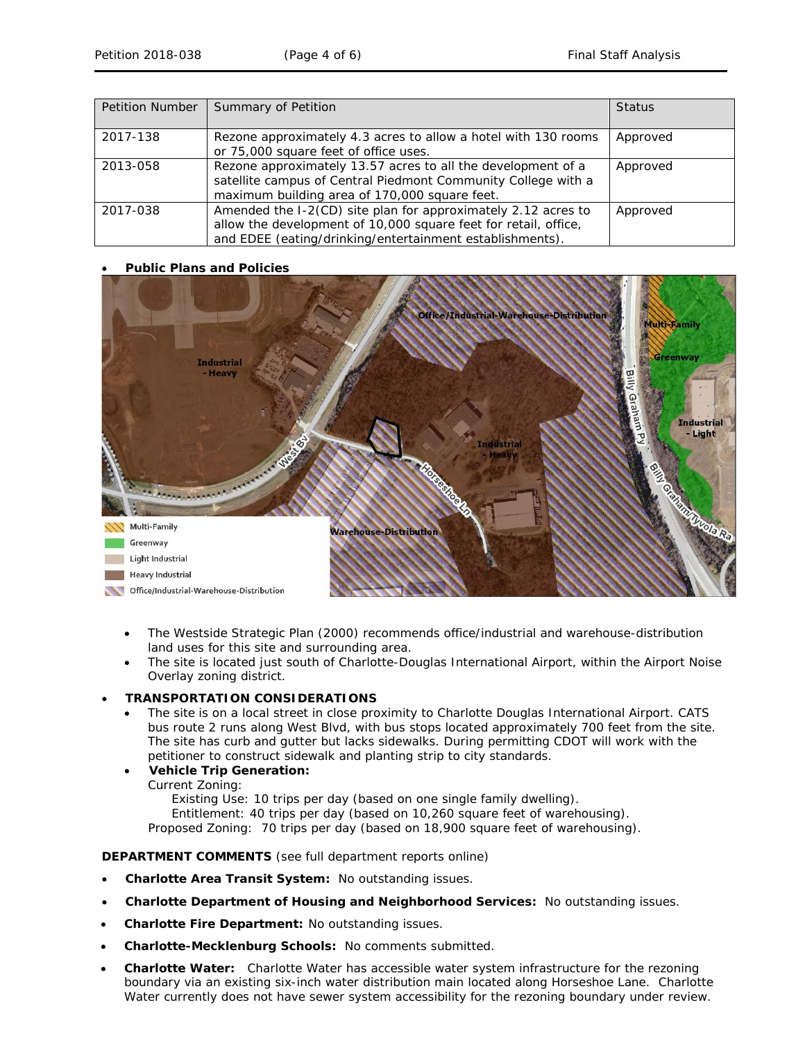| <b>Petition Number</b> | Summary of Petition                                                                                                                                                                          | <b>Status</b> |
|------------------------|----------------------------------------------------------------------------------------------------------------------------------------------------------------------------------------------|---------------|
| 2017-138               | Rezone approximately 4.3 acres to allow a hotel with 130 rooms<br>or 75,000 square feet of office uses.                                                                                      | Approved      |
| 2013-058               | Rezone approximately 13.57 acres to all the development of a<br>satellite campus of Central Piedmont Community College with a<br>maximum building area of 170,000 square feet.               | Approved      |
| 2017-038               | Amended the I-2(CD) site plan for approximately 2.12 acres to<br>allow the development of 10,000 square feet for retail, office,<br>and EDEE (eating/drinking/entertainment establishments). | Approved      |

# • **Public Plans and Policies**



- The *Westside Strategic Plan* (2000) recommends office/industrial and warehouse-distribution land uses for this site and surrounding area.
- The site is located just south of Charlotte-Douglas International Airport, within the Airport Noise Overlay zoning district.

#### • **TRANSPORTATION CONSIDERATIONS**

- The site is on a local street in close proximity to Charlotte Douglas International Airport. CATS bus route 2 runs along West Blvd, with bus stops located approximately 700 feet from the site. The site has curb and gutter but lacks sidewalks. During permitting CDOT will work with the petitioner to construct sidewalk and planting strip to city standards.
- **Vehicle Trip Generation:**
	- Current Zoning:

Existing Use: 10 trips per day (based on one single family dwelling).

Entitlement: 40 trips per day (based on 10,260 square feet of warehousing).

Proposed Zoning: 70 trips per day (based on 18,900 square feet of warehousing).

#### **DEPARTMENT COMMENTS** (see full department reports online)

- **Charlotte Area Transit System:** No outstanding issues.
- **Charlotte Department of Housing and Neighborhood Services:** No outstanding issues.
- **Charlotte Fire Department:** No outstanding issues.
- **Charlotte-Mecklenburg Schools:** No comments submitted.
- **Charlotte Water:** Charlotte Water has accessible water system infrastructure for the rezoning boundary via an existing six-inch water distribution main located along Horseshoe Lane. Charlotte Water currently does not have sewer system accessibility for the rezoning boundary under review.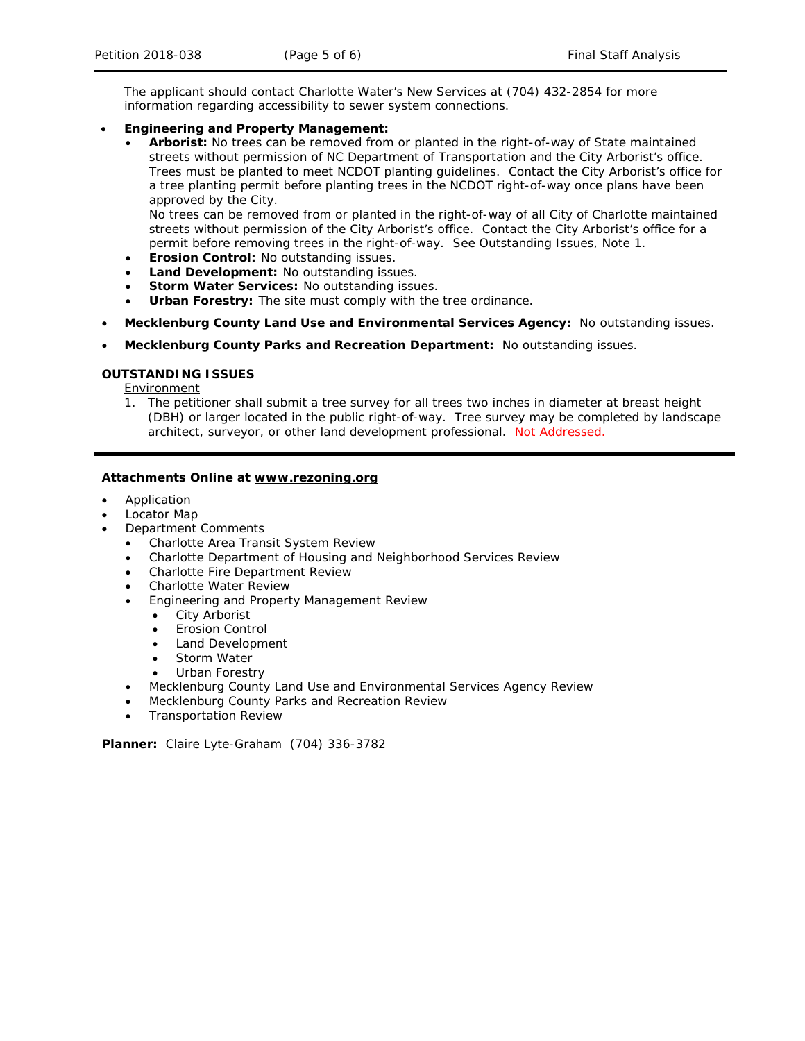The applicant should contact Charlotte Water's New Services at (704) 432-2854 for more information regarding accessibility to sewer system connections.

# • **Engineering and Property Management:**

• **Arborist:** No trees can be removed from or planted in the right-of-way of State maintained streets without permission of NC Department of Transportation and the City Arborist's office. Trees must be planted to meet NCDOT planting guidelines. Contact the City Arborist's office for a tree planting permit before planting trees in the NCDOT right-of-way once plans have been approved by the City.

No trees can be removed from or planted in the right-of-way of all City of Charlotte maintained streets without permission of the City Arborist's office. Contact the City Arborist's office for a permit before removing trees in the right-of-way. See Outstanding Issues, Note 1.

- **Erosion Control:** No outstanding issues.
- **Land Development:** No outstanding issues.
- **Storm Water Services:** No outstanding issues.
- **Urban Forestry:** The site must comply with the tree ordinance.
- **Mecklenburg County Land Use and Environmental Services Agency:** No outstanding issues.
- **Mecklenburg County Parks and Recreation Department:** No outstanding issues.

# **OUTSTANDING ISSUES**

**Environment** 

1. The petitioner shall submit a tree survey for all trees two inches in diameter at breast height (DBH) or larger located in the public right-of-way. Tree survey may be completed by landscape architect, surveyor, or other land development professional. Not Addressed.

# **Attachments Online at www.rezoning.org**

- **Application**
- Locator Map
- Department Comments
	- Charlotte Area Transit System Review
	- Charlotte Department of Housing and Neighborhood Services Review
	- Charlotte Fire Department Review
	- Charlotte Water Review
	- Engineering and Property Management Review
		- **City Arborist**
		- **Erosion Control**
		- Land Development
		- Storm Water
		- Urban Forestry
	- Mecklenburg County Land Use and Environmental Services Agency Review
	- Mecklenburg County Parks and Recreation Review
	- Transportation Review

**Planner:** Claire Lyte-Graham (704) 336-3782